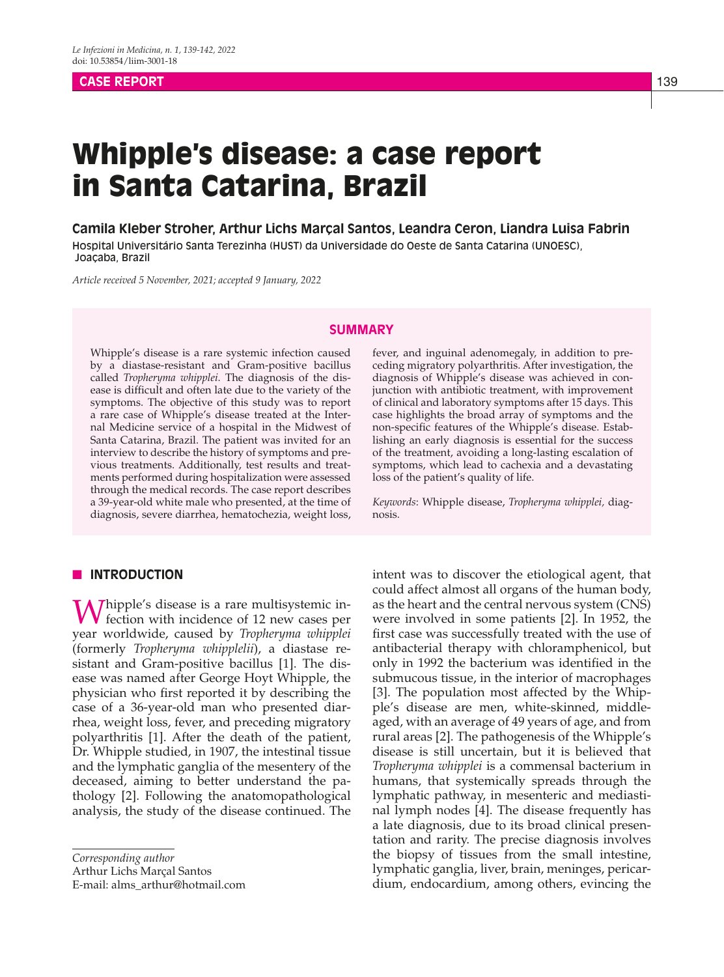## **CASE REPORT 139**

# Whipple's disease: a case report in Santa Catarina, Brazil

**Camila Kleber Stroher, Arthur Lichs Marçal Santos, Leandra Ceron, Liandra Luisa Fabrin** Hospital Universitário Santa Terezinha (HUST) da Universidade do Oeste de Santa Catarina (UNOESC), Joaçaba, Brazil

*Article received 5 November, 2021; accepted 9 January, 2022*

## **SUMMARY**

Whipple's disease is a rare systemic infection caused by a diastase-resistant and Gram-positive bacillus called *Tropheryma whipplei*. The diagnosis of the disease is difficult and often late due to the variety of the symptoms. The objective of this study was to report a rare case of Whipple's disease treated at the Internal Medicine service of a hospital in the Midwest of Santa Catarina, Brazil. The patient was invited for an interview to describe the history of symptoms and previous treatments. Additionally, test results and treatments performed during hospitalization were assessed through the medical records. The case report describes a 39-year-old white male who presented, at the time of diagnosis, severe diarrhea, hematochezia, weight loss,

## **NO INTRODUCTION**

Whipple's disease is a rare multisystemic in-<br>fection with incidence of 12 new cases per year worldwide, caused by *Tropheryma whipplei*  (formerly *Tropheryma whipplelii*), a diastase resistant and Gram-positive bacillus [1]. The disease was named after George Hoyt Whipple, the physician who first reported it by describing the case of a 36-year-old man who presented diarrhea, weight loss, fever, and preceding migratory polyarthritis [1]. After the death of the patient, Dr. Whipple studied, in 1907, the intestinal tissue and the lymphatic ganglia of the mesentery of the deceased, aiming to better understand the pathology [2]. Following the anatomopathological analysis, the study of the disease continued. The

*Corresponding author*

Arthur Lichs Marçal Santos

E-mail: alms\_arthur@hotmail.com

fever, and inguinal adenomegaly, in addition to preceding migratory polyarthritis. After investigation, the diagnosis of Whipple's disease was achieved in conjunction with antibiotic treatment, with improvement of clinical and laboratory symptoms after 15 days. This case highlights the broad array of symptoms and the non-specific features of the Whipple's disease. Establishing an early diagnosis is essential for the success of the treatment, avoiding a long-lasting escalation of symptoms, which lead to cachexia and a devastating loss of the patient's quality of life.

*Keywords*: Whipple disease, *Tropheryma whipplei,* diagnosis.

intent was to discover the etiological agent, that could affect almost all organs of the human body, as the heart and the central nervous system (CNS) were involved in some patients [2]. In 1952, the first case was successfully treated with the use of antibacterial therapy with chloramphenicol, but only in 1992 the bacterium was identified in the submucous tissue, in the interior of macrophages [3]. The population most affected by the Whipple's disease are men, white-skinned, middleaged, with an average of 49 years of age, and from rural areas [2]. The pathogenesis of the Whipple's disease is still uncertain, but it is believed that *Tropheryma whipplei* is a commensal bacterium in humans, that systemically spreads through the lymphatic pathway, in mesenteric and mediastinal lymph nodes [4]. The disease frequently has a late diagnosis, due to its broad clinical presentation and rarity. The precise diagnosis involves the biopsy of tissues from the small intestine, lymphatic ganglia, liver, brain, meninges, pericardium, endocardium, among others, evincing the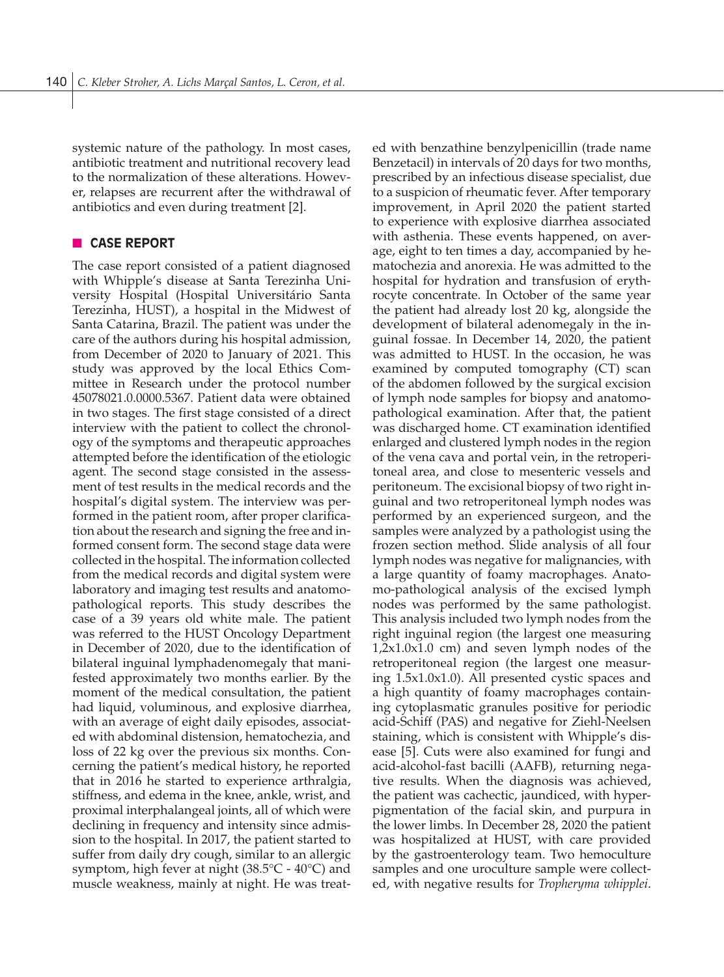systemic nature of the pathology. In most cases, antibiotic treatment and nutritional recovery lead to the normalization of these alterations. However, relapses are recurrent after the withdrawal of antibiotics and even during treatment [2].

## **n** CASE REPORT

The case report consisted of a patient diagnosed with Whipple's disease at Santa Terezinha University Hospital (Hospital Universitário Santa Terezinha, HUST), a hospital in the Midwest of Santa Catarina, Brazil. The patient was under the care of the authors during his hospital admission, from December of 2020 to January of 2021. This study was approved by the local Ethics Committee in Research under the protocol number 45078021.0.0000.5367. Patient data were obtained in two stages. The first stage consisted of a direct interview with the patient to collect the chronology of the symptoms and therapeutic approaches attempted before the identification of the etiologic agent. The second stage consisted in the assessment of test results in the medical records and the hospital's digital system. The interview was performed in the patient room, after proper clarification about the research and signing the free and informed consent form. The second stage data were collected in the hospital. The information collected from the medical records and digital system were laboratory and imaging test results and anatomopathological reports. This study describes the case of a 39 years old white male. The patient was referred to the HUST Oncology Department in December of 2020, due to the identification of bilateral inguinal lymphadenomegaly that manifested approximately two months earlier. By the moment of the medical consultation, the patient had liquid, voluminous, and explosive diarrhea, with an average of eight daily episodes, associated with abdominal distension, hematochezia, and loss of 22 kg over the previous six months. Concerning the patient's medical history, he reported that in 2016 he started to experience arthralgia, stiffness, and edema in the knee, ankle, wrist, and proximal interphalangeal joints, all of which were declining in frequency and intensity since admission to the hospital. In 2017, the patient started to suffer from daily dry cough, similar to an allergic symptom, high fever at night (38.5°C - 40°C) and muscle weakness, mainly at night. He was treated with benzathine benzylpenicillin (trade name Benzetacil) in intervals of 20 days for two months, prescribed by an infectious disease specialist, due to a suspicion of rheumatic fever. After temporary improvement, in April 2020 the patient started to experience with explosive diarrhea associated with asthenia. These events happened, on average, eight to ten times a day, accompanied by hematochezia and anorexia. He was admitted to the hospital for hydration and transfusion of erythrocyte concentrate. In October of the same year the patient had already lost 20 kg, alongside the development of bilateral adenomegaly in the inguinal fossae. In December 14, 2020, the patient was admitted to HUST. In the occasion, he was examined by computed tomography (CT) scan of the abdomen followed by the surgical excision of lymph node samples for biopsy and anatomopathological examination. After that, the patient was discharged home. CT examination identified enlarged and clustered lymph nodes in the region of the vena cava and portal vein, in the retroperitoneal area, and close to mesenteric vessels and peritoneum. The excisional biopsy of two right inguinal and two retroperitoneal lymph nodes was performed by an experienced surgeon, and the samples were analyzed by a pathologist using the frozen section method. Slide analysis of all four lymph nodes was negative for malignancies, with a large quantity of foamy macrophages. Anatomo-pathological analysis of the excised lymph nodes was performed by the same pathologist. This analysis included two lymph nodes from the right inguinal region (the largest one measuring 1,2x1.0x1.0 cm) and seven lymph nodes of the retroperitoneal region (the largest one measuring 1.5x1.0x1.0). All presented cystic spaces and a high quantity of foamy macrophages containing cytoplasmatic granules positive for periodic acid-Schiff (PAS) and negative for Ziehl-Neelsen staining, which is consistent with Whipple's disease [5]. Cuts were also examined for fungi and acid-alcohol-fast bacilli (AAFB), returning negative results. When the diagnosis was achieved, the patient was cachectic, jaundiced, with hyperpigmentation of the facial skin, and purpura in the lower limbs. In December 28, 2020 the patient was hospitalized at HUST, with care provided by the gastroenterology team. Two hemoculture samples and one uroculture sample were collected, with negative results for *Tropheryma whipplei*.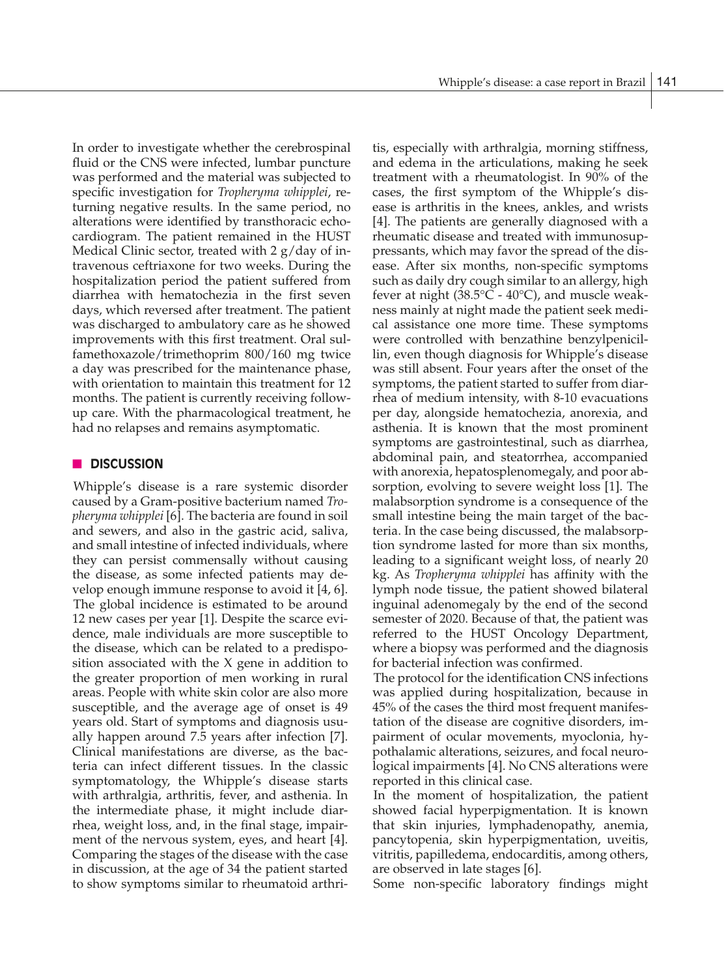In order to investigate whether the cerebrospinal fluid or the CNS were infected, lumbar puncture was performed and the material was subjected to specific investigation for *Tropheryma whipplei*, returning negative results. In the same period, no alterations were identified by transthoracic echocardiogram. The patient remained in the HUST Medical Clinic sector, treated with 2 g/day of intravenous ceftriaxone for two weeks. During the hospitalization period the patient suffered from diarrhea with hematochezia in the first seven days, which reversed after treatment. The patient was discharged to ambulatory care as he showed improvements with this first treatment. Oral sulfamethoxazole/trimethoprim 800/160 mg twice a day was prescribed for the maintenance phase, with orientation to maintain this treatment for 12 months. The patient is currently receiving followup care. With the pharmacological treatment, he had no relapses and remains asymptomatic.

## **n** DISCUSSION

Whipple's disease is a rare systemic disorder caused by a Gram-positive bacterium named *Tropheryma whipplei* [6]. The bacteria are found in soil and sewers, and also in the gastric acid, saliva, and small intestine of infected individuals, where they can persist commensally without causing the disease, as some infected patients may develop enough immune response to avoid it [4, 6]. The global incidence is estimated to be around 12 new cases per year [1]. Despite the scarce evidence, male individuals are more susceptible to the disease, which can be related to a predisposition associated with the X gene in addition to the greater proportion of men working in rural areas. People with white skin color are also more susceptible, and the average age of onset is 49 years old. Start of symptoms and diagnosis usually happen around 7.5 years after infection [7]. Clinical manifestations are diverse, as the bacteria can infect different tissues. In the classic symptomatology, the Whipple's disease starts with arthralgia, arthritis, fever, and asthenia. In the intermediate phase, it might include diarrhea, weight loss, and, in the final stage, impairment of the nervous system, eyes, and heart [4]. Comparing the stages of the disease with the case in discussion, at the age of 34 the patient started to show symptoms similar to rheumatoid arthri-

tis, especially with arthralgia, morning stiffness, and edema in the articulations, making he seek treatment with a rheumatologist. In 90% of the cases, the first symptom of the Whipple's disease is arthritis in the knees, ankles, and wrists [4]. The patients are generally diagnosed with a rheumatic disease and treated with immunosuppressants, which may favor the spread of the disease. After six months, non-specific symptoms such as daily dry cough similar to an allergy, high fever at night  $(38.5^{\circ}C - 40^{\circ}C)$ , and muscle weakness mainly at night made the patient seek medical assistance one more time. These symptoms were controlled with benzathine benzylpenicillin, even though diagnosis for Whipple's disease was still absent. Four years after the onset of the symptoms, the patient started to suffer from diarrhea of medium intensity, with 8-10 evacuations per day, alongside hematochezia, anorexia, and asthenia. It is known that the most prominent symptoms are gastrointestinal, such as diarrhea, abdominal pain, and steatorrhea, accompanied with anorexia, hepatosplenomegaly, and poor absorption, evolving to severe weight loss [1]. The malabsorption syndrome is a consequence of the small intestine being the main target of the bacteria. In the case being discussed, the malabsorption syndrome lasted for more than six months, leading to a significant weight loss, of nearly 20 kg. As *Tropheryma whipplei* has affinity with the lymph node tissue, the patient showed bilateral inguinal adenomegaly by the end of the second semester of 2020. Because of that, the patient was referred to the HUST Oncology Department, where a biopsy was performed and the diagnosis for bacterial infection was confirmed.

The protocol for the identification CNS infections was applied during hospitalization, because in 45% of the cases the third most frequent manifestation of the disease are cognitive disorders, impairment of ocular movements, myoclonia, hypothalamic alterations, seizures, and focal neurological impairments [4]. No CNS alterations were reported in this clinical case.

In the moment of hospitalization, the patient showed facial hyperpigmentation. It is known that skin injuries, lymphadenopathy, anemia, pancytopenia, skin hyperpigmentation, uveitis, vitritis, papilledema, endocarditis, among others, are observed in late stages [6].

Some non-specific laboratory findings might